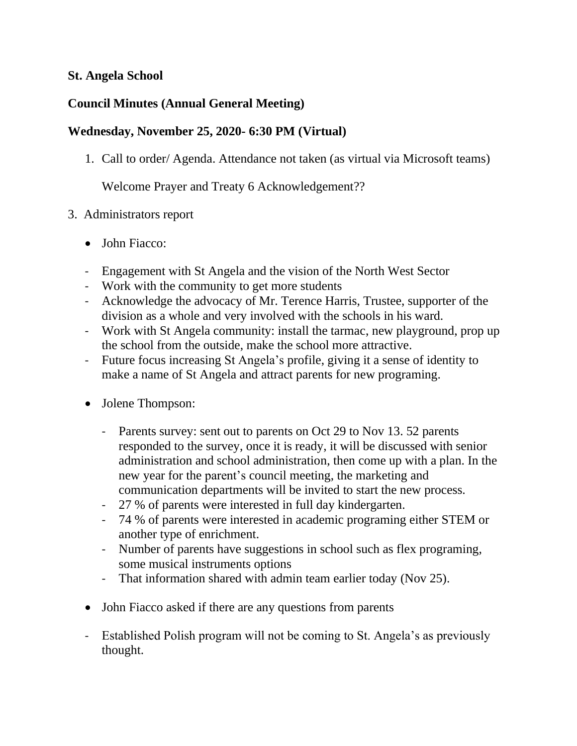#### **St. Angela School**

# **Council Minutes (Annual General Meeting)**

### **Wednesday, November 25, 2020- 6:30 PM (Virtual)**

1. Call to order/ Agenda. Attendance not taken (as virtual via Microsoft teams)

Welcome Prayer and Treaty 6 Acknowledgement??

- 3. Administrators report
	- John Fiacco:
	- Engagement with St Angela and the vision of the North West Sector
	- Work with the community to get more students
	- Acknowledge the advocacy of Mr. Terence Harris, Trustee, supporter of the division as a whole and very involved with the schools in his ward.
	- Work with St Angela community: install the tarmac, new playground, prop up the school from the outside, make the school more attractive.
	- Future focus increasing St Angela's profile, giving it a sense of identity to make a name of St Angela and attract parents for new programing.
	- Jolene Thompson:
		- Parents survey: sent out to parents on Oct 29 to Nov 13.52 parents responded to the survey, once it is ready, it will be discussed with senior administration and school administration, then come up with a plan. In the new year for the parent's council meeting, the marketing and communication departments will be invited to start the new process.
		- 27 % of parents were interested in full day kindergarten.
		- 74 % of parents were interested in academic programing either STEM or another type of enrichment.
		- Number of parents have suggestions in school such as flex programing, some musical instruments options
		- That information shared with admin team earlier today (Nov 25).
	- John Fiacco asked if there are any questions from parents
	- Established Polish program will not be coming to St. Angela's as previously thought.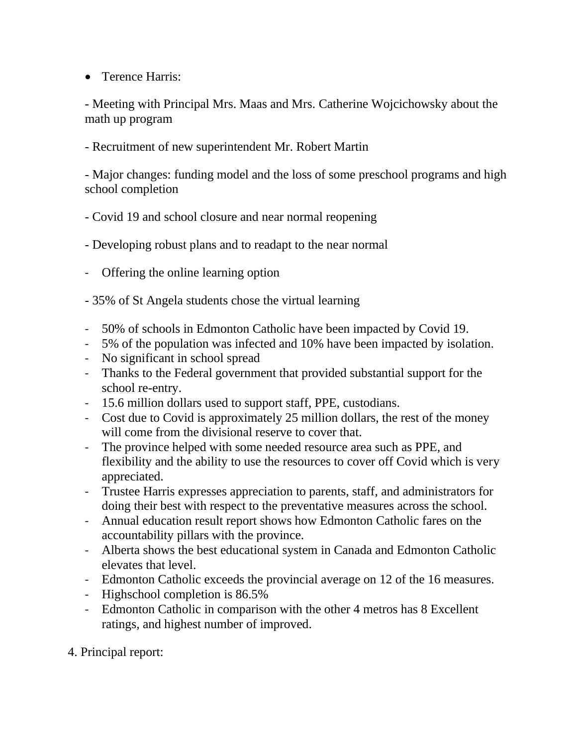• Terence Harris:

- Meeting with Principal Mrs. Maas and Mrs. Catherine Wojcichowsky about the math up program

- Recruitment of new superintendent Mr. Robert Martin

- Major changes: funding model and the loss of some preschool programs and high school completion

- Covid 19 and school closure and near normal reopening

- Developing robust plans and to readapt to the near normal

- Offering the online learning option

- 35% of St Angela students chose the virtual learning

- 50% of schools in Edmonton Catholic have been impacted by Covid 19.
- 5% of the population was infected and 10% have been impacted by isolation.
- No significant in school spread
- Thanks to the Federal government that provided substantial support for the school re-entry.
- 15.6 million dollars used to support staff, PPE, custodians.
- Cost due to Covid is approximately 25 million dollars, the rest of the money will come from the divisional reserve to cover that.
- The province helped with some needed resource area such as PPE, and flexibility and the ability to use the resources to cover off Covid which is very appreciated.
- Trustee Harris expresses appreciation to parents, staff, and administrators for doing their best with respect to the preventative measures across the school.
- Annual education result report shows how Edmonton Catholic fares on the accountability pillars with the province.
- Alberta shows the best educational system in Canada and Edmonton Catholic elevates that level.
- Edmonton Catholic exceeds the provincial average on 12 of the 16 measures.
- Highschool completion is 86.5%
- Edmonton Catholic in comparison with the other 4 metros has 8 Excellent ratings, and highest number of improved.

4. Principal report: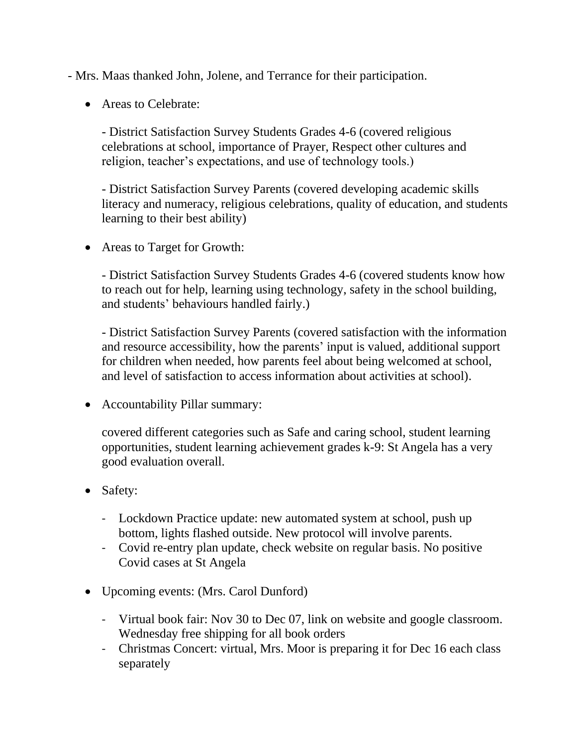- Mrs. Maas thanked John, Jolene, and Terrance for their participation.

• Areas to Celebrate:

- District Satisfaction Survey Students Grades 4-6 (covered religious celebrations at school, importance of Prayer, Respect other cultures and religion, teacher's expectations, and use of technology tools.)

- District Satisfaction Survey Parents (covered developing academic skills literacy and numeracy, religious celebrations, quality of education, and students learning to their best ability)

• Areas to Target for Growth:

- District Satisfaction Survey Students Grades 4-6 (covered students know how to reach out for help, learning using technology, safety in the school building, and students' behaviours handled fairly.)

- District Satisfaction Survey Parents (covered satisfaction with the information and resource accessibility, how the parents' input is valued, additional support for children when needed, how parents feel about being welcomed at school, and level of satisfaction to access information about activities at school).

• Accountability Pillar summary:

covered different categories such as Safe and caring school, student learning opportunities, student learning achievement grades k-9: St Angela has a very good evaluation overall.

- Safety:
	- Lockdown Practice update: new automated system at school, push up bottom, lights flashed outside. New protocol will involve parents.
	- Covid re-entry plan update, check website on regular basis. No positive Covid cases at St Angela
- Upcoming events: (Mrs. Carol Dunford)
	- Virtual book fair: Nov 30 to Dec 07, link on website and google classroom. Wednesday free shipping for all book orders
	- Christmas Concert: virtual, Mrs. Moor is preparing it for Dec 16 each class separately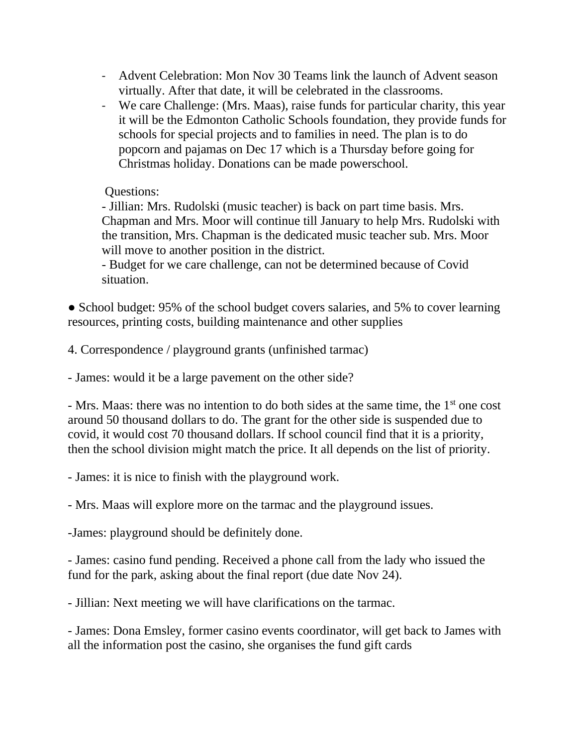- Advent Celebration: Mon Nov 30 Teams link the launch of Advent season virtually. After that date, it will be celebrated in the classrooms.
- We care Challenge: (Mrs. Maas), raise funds for particular charity, this year it will be the Edmonton Catholic Schools foundation, they provide funds for schools for special projects and to families in need. The plan is to do popcorn and pajamas on Dec 17 which is a Thursday before going for Christmas holiday. Donations can be made powerschool.

#### Questions:

- Jillian: Mrs. Rudolski (music teacher) is back on part time basis. Mrs. Chapman and Mrs. Moor will continue till January to help Mrs. Rudolski with the transition, Mrs. Chapman is the dedicated music teacher sub. Mrs. Moor will move to another position in the district.

- Budget for we care challenge, can not be determined because of Covid situation.

• School budget: 95% of the school budget covers salaries, and 5% to cover learning resources, printing costs, building maintenance and other supplies

4. Correspondence / playground grants (unfinished tarmac)

- James: would it be a large pavement on the other side?

- Mrs. Maas: there was no intention to do both sides at the same time, the 1<sup>st</sup> one cost around 50 thousand dollars to do. The grant for the other side is suspended due to covid, it would cost 70 thousand dollars. If school council find that it is a priority, then the school division might match the price. It all depends on the list of priority.

- James: it is nice to finish with the playground work.

- Mrs. Maas will explore more on the tarmac and the playground issues.

-James: playground should be definitely done.

- James: casino fund pending. Received a phone call from the lady who issued the fund for the park, asking about the final report (due date Nov 24).

- Jillian: Next meeting we will have clarifications on the tarmac.

- James: Dona Emsley, former casino events coordinator, will get back to James with all the information post the casino, she organises the fund gift cards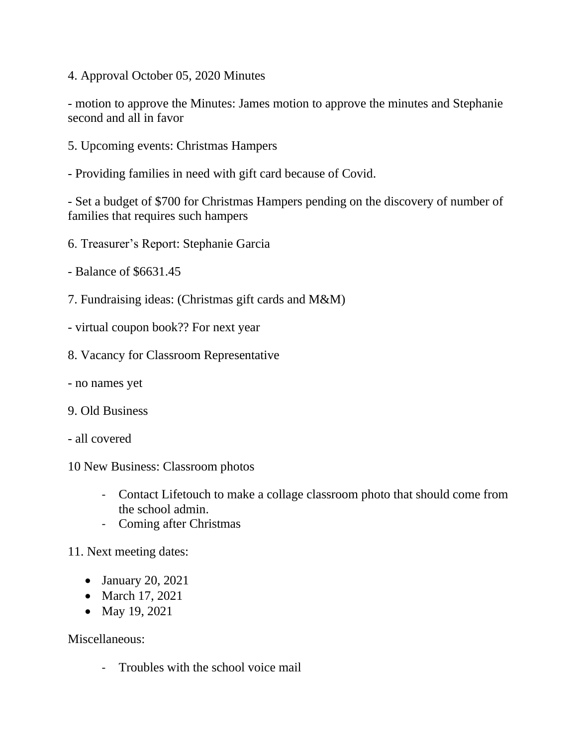4. Approval October 05, 2020 Minutes

- motion to approve the Minutes: James motion to approve the minutes and Stephanie second and all in favor

- 5. Upcoming events: Christmas Hampers
- Providing families in need with gift card because of Covid.

- Set a budget of \$700 for Christmas Hampers pending on the discovery of number of families that requires such hampers

- 6. Treasurer's Report: Stephanie Garcia
- Balance of \$6631.45
- 7. Fundraising ideas: (Christmas gift cards and M&M)
- virtual coupon book?? For next year
- 8. Vacancy for Classroom Representative
- no names yet
- 9. Old Business
- all covered
- 10 New Business: Classroom photos
	- Contact Lifetouch to make a collage classroom photo that should come from the school admin.
	- Coming after Christmas

11. Next meeting dates:

- January 20, 2021
- March 17, 2021
- May 19, 2021

Miscellaneous:

- Troubles with the school voice mail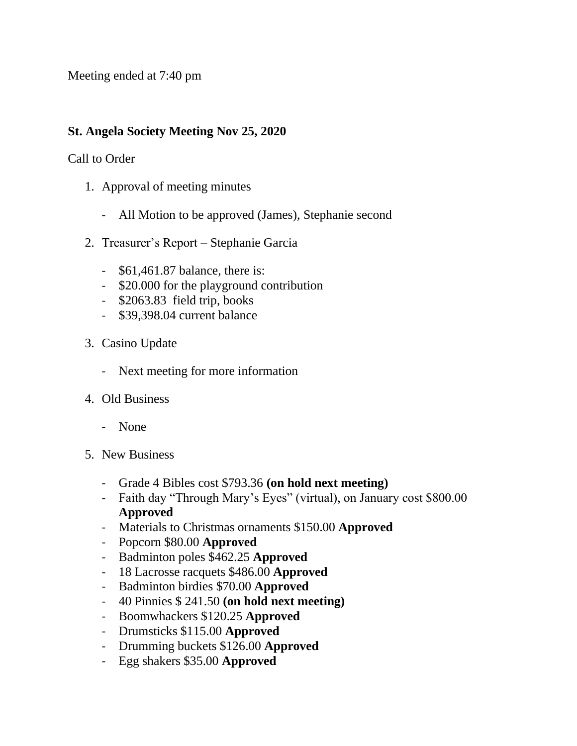Meeting ended at 7:40 pm

# **St. Angela Society Meeting Nov 25, 2020**

### Call to Order

- 1. Approval of meeting minutes
	- All Motion to be approved (James), Stephanie second
- 2. Treasurer's Report Stephanie Garcia
	- \$61,461.87 balance, there is:
	- \$20.000 for the playground contribution
	- \$2063.83 field trip, books
	- \$39,398.04 current balance
- 3. Casino Update
	- Next meeting for more information
- 4. Old Business
	- None
- 5. New Business
	- Grade 4 Bibles cost \$793.36 **(on hold next meeting)**
	- Faith day "Through Mary's Eyes" (virtual), on January cost \$800.00 **Approved**
	- Materials to Christmas ornaments \$150.00 **Approved**
	- Popcorn \$80.00 **Approved**
	- Badminton poles \$462.25 **Approved**
	- 18 Lacrosse racquets \$486.00 **Approved**
	- Badminton birdies \$70.00 **Approved**
	- 40 Pinnies \$ 241.50 **(on hold next meeting)**
	- Boomwhackers \$120.25 **Approved**
	- Drumsticks \$115.00 **Approved**
	- Drumming buckets \$126.00 **Approved**
	- Egg shakers \$35.00 **Approved**